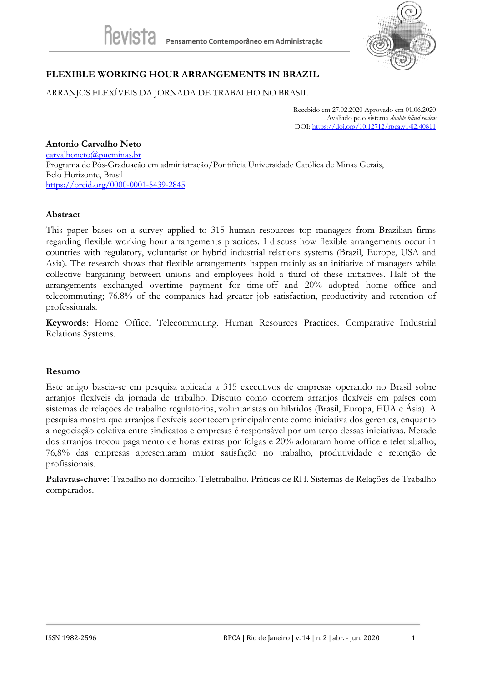

# **FLEXIBLE WORKING HOUR ARRANGEMENTS IN BRAZIL**

ARRANJOS FLEXÍVEIS DA JORNADA DE TRABALHO NO BRASIL

Recebido em 27.02.2020 Aprovado em 01.06.2020 Avaliado pelo sistema *double blind review* DOI: <https://doi.org/10.12712/rpca.v14i2.40811>

### **Antonio Carvalho Neto**

[carvalhoneto@pucminas.br](mailto:carvalhoneto@pucminas.br) Programa de Pós-Graduação em administração/Pontifícia Universidade Católica de Minas Gerais, Belo Horizonte, Brasil <https://orcid.org/0000-0001-5439-2845>

### **Abstract**

This paper bases on a survey applied to 315 human resources top managers from Brazilian firms regarding flexible working hour arrangements practices. I discuss how flexible arrangements occur in countries with regulatory, voluntarist or hybrid industrial relations systems (Brazil, Europe, USA and Asia). The research shows that flexible arrangements happen mainly as an initiative of managers while collective bargaining between unions and employees hold a third of these initiatives. Half of the arrangements exchanged overtime payment for time-off and 20% adopted home office and telecommuting; 76.8% of the companies had greater job satisfaction, productivity and retention of professionals.

**Keywords**: Home Office. Telecommuting. Human Resources Practices. Comparative Industrial Relations Systems.

### **Resumo**

Este artigo baseia-se em pesquisa aplicada a 315 executivos de empresas operando no Brasil sobre arranjos flexíveis da jornada de trabalho. Discuto como ocorrem arranjos flexíveis em países com sistemas de relações de trabalho regulatórios, voluntaristas ou híbridos (Brasil, Europa, EUA e Ásia). A pesquisa mostra que arranjos flexíveis acontecem principalmente como iniciativa dos gerentes, enquanto a negociação coletiva entre sindicatos e empresas é responsável por um terço dessas iniciativas. Metade dos arranjos trocou pagamento de horas extras por folgas e 20% adotaram home office e teletrabalho; 76,8% das empresas apresentaram maior satisfação no trabalho, produtividade e retenção de profissionais.

**Palavras-chave:** Trabalho no domicílio. Teletrabalho. Práticas de RH. Sistemas de Relações de Trabalho comparados.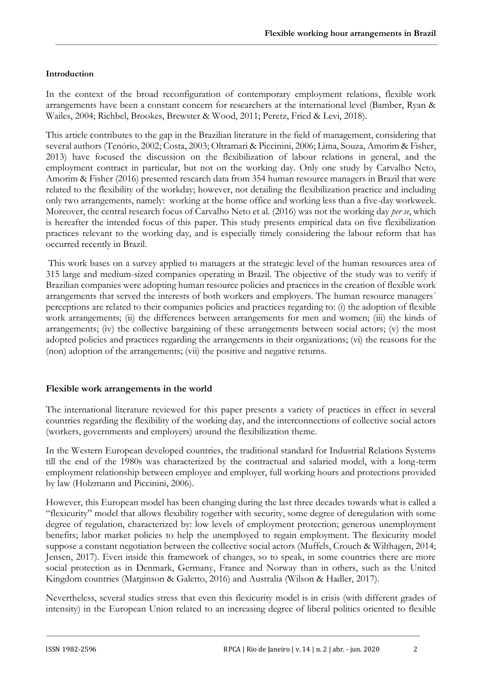## **Introduction**

In the context of the broad reconfiguration of contemporary employment relations, flexible work arrangements have been a constant concern for researchers at the international level (Bamber, Ryan & Wailes, 2004; Richbel, Brookes, Brewster & Wood, 2011; Peretz, Fried & Levi, 2018).

This article contributes to the gap in the Brazilian literature in the field of management, considering that several authors (Tenório, 2002; Costa, 2003; Oltramari & Piccinini, 2006; Lima, Souza, Amorim & Fisher, 2013) have focused the discussion on the flexibilization of labour relations in general, and the employment contract in particular, but not on the working day. Only one study by Carvalho Neto, Amorim & Fisher (2016) presented research data from 354 human resource managers in Brazil that were related to the flexibility of the workday; however, not detailing the flexibilization practice and including only two arrangements, namely: working at the home office and working less than a five-day workweek. Moreover, the central research focus of Carvalho Neto et al. (2016) was not the working day *per se*, which is hereafter the intended focus of this paper. This study presents empirical data on five flexibilization practices relevant to the working day, and is especially timely considering the labour reform that has occurred recently in Brazil.

This work bases on a survey applied to managers at the strategic level of the human resources area of 315 large and medium-sized companies operating in Brazil. The objective of the study was to verify if Brazilian companies were adopting human resource policies and practices in the creation of flexible work arrangements that served the interests of both workers and employers. The human resource managers´ perceptions are related to their companies policies and practices regarding to: (i) the adoption of flexible work arrangements; (ii) the differences between arrangements for men and women; (iii) the kinds of arrangements; (iv) the collective bargaining of these arrangements between social actors; (v) the most adopted policies and practices regarding the arrangements in their organizations; (vi) the reasons for the (non) adoption of the arrangements; (vii) the positive and negative returns.

### **Flexible work arrangements in the world**

The international literature reviewed for this paper presents a variety of practices in effect in several countries regarding the flexibility of the working day, and the interconnections of collective social actors (workers, governments and employers) around the flexibilization theme.

In the Western European developed countries, the traditional standard for Industrial Relations Systems till the end of the 1980s was characterized by the contractual and salaried model, with a long-term employment relationship between employee and employer, full working hours and protections provided by law (Holzmann and Piccinini, 2006).

However, this European model has been changing during the last three decades towards what is called a "flexicurity" model that allows flexibility together with security, some degree of deregulation with some degree of regulation, characterized by: low levels of employment protection; generous unemployment benefits; labor market policies to help the unemployed to regain employment. The flexicurity model suppose a constant negotiation between the collective social actors (Muffels, Crouch & Wilthagen, 2014; Jensen, 2017). Even inside this framework of changes, so to speak, in some countries there are more social protection as in Denmark, Germany, France and Norway than in others, such as the United Kingdom countries (Marginson & Galetto, 2016) and Australia (Wilson & Hadler, 2017).

Nevertheless, several studies stress that even this flexicurity model is in crisis (with different grades of intensity) in the European Union related to an increasing degree of liberal politics oriented to flexible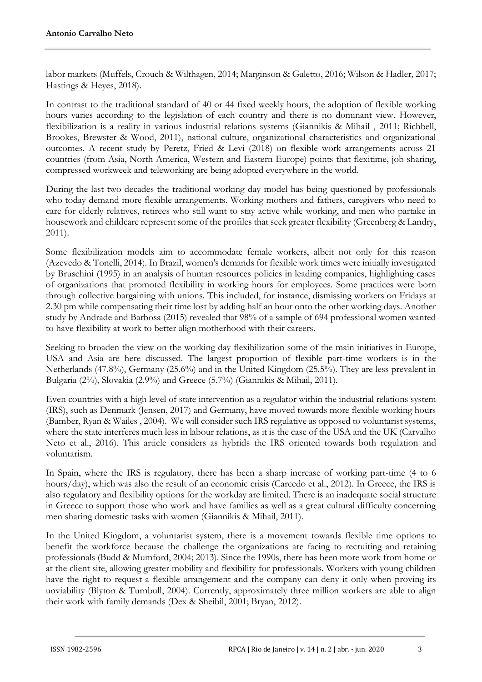labor markets (Muffels, Crouch & Wilthagen, 2014; Marginson & Galetto, 2016; Wilson & Hadler, 2017; Hastings & Heyes, 2018).

In contrast to the traditional standard of 40 or 44 fixed weekly hours, the adoption of flexible working hours varies according to the legislation of each country and there is no dominant view. However, flexibilization is a reality in various industrial relations systems (Giannikis & Mihail , 2011; Richbell, Brookes, Brewster & Wood, 2011), national culture, organizational characteristics and organizational outcomes. A recent study by Peretz, Fried & Levi (2018) on flexible work arrangements across 21 countries (from Asia, North America, Western and Eastern Europe) points that flexitime, job sharing, compressed workweek and teleworking are being adopted everywhere in the world.

During the last two decades the traditional working day model has being questioned by professionals who today demand more flexible arrangements. Working mothers and fathers, caregivers who need to care for elderly relatives, retirees who still want to stay active while working, and men who partake in housework and childcare represent some of the profiles that seek greater flexibility (Greenberg & Landry, 2011).

Some flexibilization models aim to accommodate female workers, albeit not only for this reason (Azevedo & Tonelli, 2014). In Brazil, women's demands for flexible work times were initially investigated by Bruschini (1995) in an analysis of human resources policies in leading companies, highlighting cases of organizations that promoted flexibility in working hours for employees. Some practices were born through collective bargaining with unions. This included, for instance, dismissing workers on Fridays at 2.30 pm while compensating their time lost by adding half an hour onto the other working days. Another study by Andrade and Barbosa (2015) revealed that 98% of a sample of 694 professional women wanted to have flexibility at work to better align motherhood with their careers.

Seeking to broaden the view on the working day flexibilization some of the main initiatives in Europe, USA and Asia are here discussed. The largest proportion of flexible part-time workers is in the Netherlands (47.8%), Germany (25.6%) and in the United Kingdom (25.5%). They are less prevalent in Bulgaria (2%), Slovakia (2.9%) and Greece (5.7%) (Giannikis & Mihail, 2011).

Even countries with a high level of state intervention as a regulator within the industrial relations system (IRS), such as Denmark (Jensen, 2017) and Germany, have moved towards more flexible working hours (Bamber, Ryan & Wailes , 2004). We will consider such IRS regulative as opposed to voluntarist systems, where the state interferes much less in labour relations, as it is the case of the USA and the UK (Carvalho Neto et al., 2016). This article considers as hybrids the IRS oriented towards both regulation and voluntarism.

In Spain, where the IRS is regulatory, there has been a sharp increase of working part-time (4 to 6 hours/day), which was also the result of an economic crisis (Carcedo et al., 2012). In Greece, the IRS is also regulatory and flexibility options for the workday are limited. There is an inadequate social structure in Greece to support those who work and have families as well as a great cultural difficulty concerning men sharing domestic tasks with women (Giannikis & Mihail, 2011).

In the United Kingdom, a voluntarist system, there is a movement towards flexible time options to benefit the workforce because the challenge the organizations are facing to recruiting and retaining professionals (Budd & Mumford, 2004; 2013). Since the 1990s, there has been more work from home or at the client site, allowing greater mobility and flexibility for professionals. Workers with young children have the right to request a flexible arrangement and the company can deny it only when proving its unviability (Blyton & Turnbull, 2004). Currently, approximately three million workers are able to align their work with family demands (Dex & Sheibil, 2001; Bryan, 2012).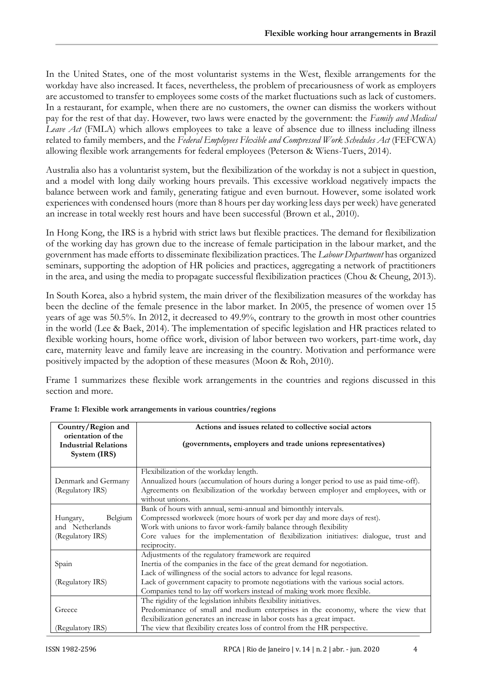In the United States, one of the most voluntarist systems in the West, flexible arrangements for the workday have also increased. It faces, nevertheless, the problem of precariousness of work as employers are accustomed to transfer to employees some costs of the market fluctuations such as lack of customers. In a restaurant, for example, when there are no customers, the owner can dismiss the workers without pay for the rest of that day. However, two laws were enacted by the government: the *Family and Medical Leave Act* (FMLA) which allows employees to take a leave of absence due to illness including illness related to family members, and the *Federal Employees Flexible and Compressed Work Schedules Act* (FEFCWA) allowing flexible work arrangements for federal employees (Peterson & Wiens-Tuers, 2014).

Australia also has a voluntarist system, but the flexibilization of the workday is not a subject in question, and a model with long daily working hours prevails. This excessive workload negatively impacts the balance between work and family, generating fatigue and even burnout. However, some isolated work experiences with condensed hours (more than 8 hours per day working less days per week) have generated an increase in total weekly rest hours and have been successful (Brown et al., 2010).

In Hong Kong, the IRS is a hybrid with strict laws but flexible practices. The demand for flexibilization of the working day has grown due to the increase of female participation in the labour market, and the government has made efforts to disseminate flexibilization practices. The *Labour Department* has organized seminars, supporting the adoption of HR policies and practices, aggregating a network of practitioners in the area, and using the media to propagate successful flexibilization practices (Chou & Cheung, 2013).

In South Korea, also a hybrid system, the main driver of the flexibilization measures of the workday has been the decline of the female presence in the labor market. In 2005, the presence of women over 15 years of age was 50.5%. In 2012, it decreased to 49.9%, contrary to the growth in most other countries in the world (Lee & Baek, 2014). The implementation of specific legislation and HR practices related to flexible working hours, home office work, division of labor between two workers, part-time work, day care, maternity leave and family leave are increasing in the country. Motivation and performance were positively impacted by the adoption of these measures (Moon & Roh, 2010).

Frame 1 summarizes these flexible work arrangements in the countries and regions discussed in this section and more.

| Country/Region and          | Actions and issues related to collective social actors                                   |
|-----------------------------|------------------------------------------------------------------------------------------|
| orientation of the          |                                                                                          |
| <b>Industrial Relations</b> | (governments, employers and trade unions representatives)                                |
| System (IRS)                |                                                                                          |
|                             |                                                                                          |
|                             | Flexibilization of the workday length.                                                   |
| Denmark and Germany         | Annualized hours (accumulation of hours during a longer period to use as paid time-off). |
| (Regulatory IRS)            | Agreements on flexibilization of the workday between employer and employees, with or     |
|                             | without unions.                                                                          |
|                             | Bank of hours with annual, semi-annual and bimonthly intervals.                          |
| Belgium<br>Hungary,         | Compressed workweek (more hours of work per day and more days of rest).                  |
| and Netherlands             | Work with unions to favor work-family balance through flexibility                        |
| (Regulatory IRS)            | Core values for the implementation of flexibilization initiatives: dialogue, trust and   |
|                             | reciprocity.                                                                             |
|                             | Adjustments of the regulatory framework are required                                     |
| Spain                       | Inertia of the companies in the face of the great demand for negotiation.                |
|                             | Lack of willingness of the social actors to advance for legal reasons.                   |
| (Regulatory IRS)            | Lack of government capacity to promote negotiations with the various social actors.      |
|                             | Companies tend to lay off workers instead of making work more flexible.                  |
|                             | The rigidity of the legislation inhibits flexibility initiatives.                        |
| Greece                      | Predominance of small and medium enterprises in the economy, where the view that         |
|                             | flexibilization generates an increase in labor costs has a great impact.                 |
| (Regulatory IRS)            | The view that flexibility creates loss of control from the HR perspective.               |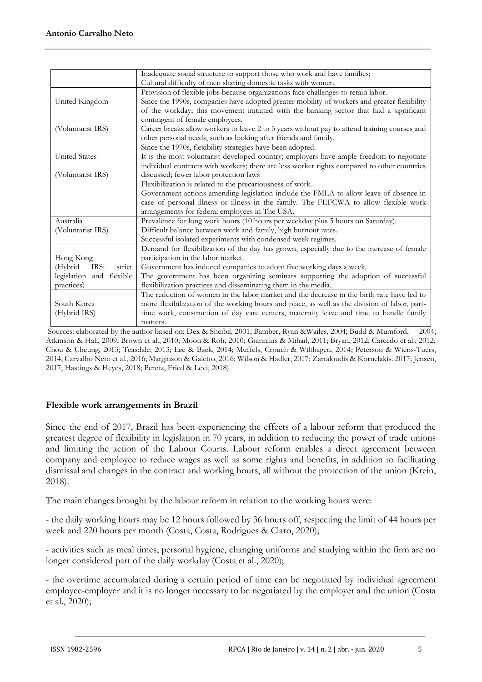|                           | Inadequate social structure to support those who work and have families;                     |
|---------------------------|----------------------------------------------------------------------------------------------|
|                           | Cultural difficulty of men sharing domestic tasks with women.                                |
|                           | Provision of flexible jobs because organizations face challenges to retain labor.            |
| United Kingdom            | Since the 1990s, companies have adopted greater mobility of workers and greater flexibility  |
|                           | of the workday; this movement initiated with the banking sector that had a significant       |
|                           | contingent of female employees.                                                              |
| (Voluntarist IRS)         | Career breaks allow workers to leave 2 to 5 years without pay to attend training courses and |
|                           | other personal needs, such as looking after friends and family.                              |
|                           | Since the 1970s, flexibility strategies have been adopted.                                   |
| <b>United States</b>      | It is the most voluntarist developed country; employers have ample freedom to negotiate      |
|                           | individual contracts with workers; there are less worker rights compared to other countries  |
| (Voluntarist IRS)         | discussed; fewer labor protection laws                                                       |
|                           | Flexibilization is related to the precariousness of work.                                    |
|                           | Government actions amending legislation include the FMLA to allow leave of absence in        |
|                           | case of personal illness or illness in the family. The FEFCWA to allow flexible work         |
|                           | arrangements for federal employees in The USA.                                               |
| Australia                 | Prevalence for long work hours (10 hours per weekday plus 5 hours on Saturday).              |
| (Voluntarist IRS)         | Difficult balance between work and family, high burnout rates.                               |
|                           | Successful isolated experiments with condensed week regimes.                                 |
|                           | Demand for flexibilization of the day has grown, especially due to the increase of female    |
| Hong Kong                 | participation in the labor market.                                                           |
| IRS:<br>(Hybrid<br>strict | Government has induced companies to adopt five working days a week.                          |
| legislation and flexible  | The government has been organizing seminars supporting the adoption of successful            |
| practices)                | flexibilization practices and disseminating them in the media.                               |
|                           | The reduction of women in the labor market and the decrease in the birth rate have led to    |
| South Korea               | more flexibilization of the working hours and place, as well as the division of labor, part- |
| (Hybrid IRS)              | time work, construction of day care centers, maternity leave and time to handle family       |
|                           | matters.                                                                                     |

Sources: elaborated by the author based on: Dex & Sheibil, 2001; Bamber, Ryan &Wailes, 2004; Budd & Mumford, 2004; Atkinson & Hall, 2009; Brown et al., 2010; Moon & Roh, 2010; Giannikis & Mihail, 2011; Bryan, 2012; Carcedo et al., 2012; Chou & Cheung, 2013; Teasdale, 2013; Lee & Baek, 2014; Muffels, Crouch & Wilthagen, 2014; Peterson & Wiens-Tuers, 2014; Carvalho Neto et al., 2016; Marginson & Galetto, 2016; Wilson & Hadler, 2017; Zartaloudis & Kornelakis. 2017; Jensen, 2017; Hastings & Heyes, 2018; Peretz, Fried & Levi, 2018).

# **Flexible work arrangements in Brazil**

Since the end of 2017, Brazil has been experiencing the effects of a labour reform that produced the greatest degree of flexibility in legislation in 70 years, in addition to reducing the power of trade unions and limiting the action of the Labour Courts. Labour reform enables a direct agreement between company and employee to reduce wages as well as some rights and benefits, in addition to facilitating dismissal and changes in the contract and working hours, all without the protection of the union (Krein, 2018).

The main changes brought by the labour reform in relation to the working hours were:

- the daily working hours may be 12 hours followed by 36 hours off, respecting the limit of 44 hours per week and 220 hours per month (Costa, Costa, Rodrigues & Claro, 2020);

- activities such as meal times, personal hygiene, changing uniforms and studying within the firm are no longer considered part of the daily workday (Costa et al., 2020);

- the overtime accumulated during a certain period of time can be negotiated by individual agreement employee-employer and it is no longer necessary to be negotiated by the employer and the union (Costa et al., 2020);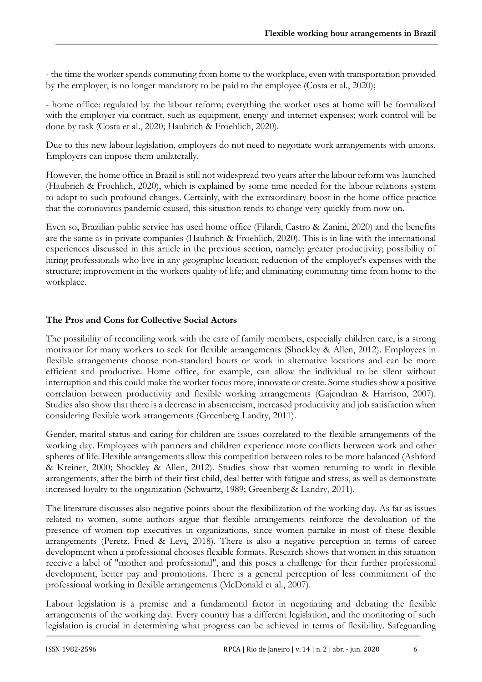- the time the worker spends commuting from home to the workplace, even with transportation provided by the employer, is no longer mandatory to be paid to the employee (Costa et al., 2020);

- home office: regulated by the labour reform; everything the worker uses at home will be formalized with the employer via contract, such as equipment, energy and internet expenses; work control will be done by task (Costa et al., 2020; Haubrich & Froehlich, 2020).

Due to this new labour legislation, employers do not need to negotiate work arrangements with unions. Employers can impose them unilaterally.

However, the home office in Brazil is still not widespread two years after the labour reform was launched (Haubrich & Froehlich, 2020), which is explained by some time needed for the labour relations system to adapt to such profound changes. Certainly, with the extraordinary boost in the home office practice that the coronavirus pandemic caused, this situation tends to change very quickly from now on.

Even so, Brazilian public service has used home office (Filardi, Castro & Zanini, 2020) and the benefits are the same as in private companies (Haubrich & Froehlich, 2020). This is in line with the international experiences discussed in this article in the previous section, namely: greater productivity; possibility of hiring professionals who live in any geographic location; reduction of the employer's expenses with the structure; improvement in the workers quality of life; and eliminating commuting time from home to the workplace.

### **The Pros and Cons for Collective Social Actors**

The possibility of reconciling work with the care of family members, especially children care, is a strong motivator for many workers to seek for flexible arrangements (Shockley & Allen, 2012). Employees in flexible arrangements choose non-standard hours or work in alternative locations and can be more efficient and productive. Home office, for example, can allow the individual to be silent without interruption and this could make the worker focus more, innovate or create. Some studies show a positive correlation between productivity and flexible working arrangements (Gajendran & Harrison, 2007). Studies also show that there is a decrease in absenteeism, increased productivity and job satisfaction when considering flexible work arrangements (Greenberg Landry, 2011).

Gender, marital status and caring for children are issues correlated to the flexible arrangements of the working day. Employees with partners and children experience more conflicts between work and other spheres of life. Flexible arrangements allow this competition between roles to be more balanced (Ashford & Kreiner, 2000; Shockley & Allen, 2012). Studies show that women returning to work in flexible arrangements, after the birth of their first child, deal better with fatigue and stress, as well as demonstrate increased loyalty to the organization (Schwartz, 1989; Greenberg & Landry, 2011).

The literature discusses also negative points about the flexibilization of the working day. As far as issues related to women, some authors argue that flexible arrangements reinforce the devaluation of the presence of women top executives in organizations, since women partake in most of these flexible arrangements (Peretz, Fried & Levi, 2018). There is also a negative perception in terms of career development when a professional chooses flexible formats. Research shows that women in this situation receive a label of "mother and professional", and this poses a challenge for their further professional development, better pay and promotions. There is a general perception of less commitment of the professional working in flexible arrangements (McDonald et al., 2007).

Labour legislation is a premise and a fundamental factor in negotiating and debating the flexible arrangements of the working day. Every country has a different legislation, and the monitoring of such legislation is crucial in determining what progress can be achieved in terms of flexibility. Safeguarding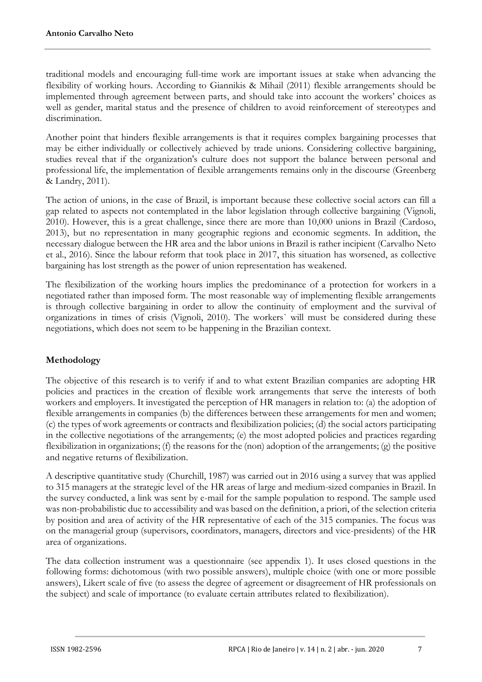traditional models and encouraging full-time work are important issues at stake when advancing the flexibility of working hours. According to Giannikis & Mihail (2011) flexible arrangements should be implemented through agreement between parts, and should take into account the workers' choices as well as gender, marital status and the presence of children to avoid reinforcement of stereotypes and discrimination.

Another point that hinders flexible arrangements is that it requires complex bargaining processes that may be either individually or collectively achieved by trade unions. Considering collective bargaining, studies reveal that if the organization's culture does not support the balance between personal and professional life, the implementation of flexible arrangements remains only in the discourse (Greenberg & Landry, 2011).

The action of unions, in the case of Brazil, is important because these collective social actors can fill a gap related to aspects not contemplated in the labor legislation through collective bargaining (Vignoli, 2010). However, this is a great challenge, since there are more than 10,000 unions in Brazil (Cardoso, 2013), but no representation in many geographic regions and economic segments. In addition, the necessary dialogue between the HR area and the labor unions in Brazil is rather incipient (Carvalho Neto et al., 2016). Since the labour reform that took place in 2017, this situation has worsened, as collective bargaining has lost strength as the power of union representation has weakened.

The flexibilization of the working hours implies the predominance of a protection for workers in a negotiated rather than imposed form. The most reasonable way of implementing flexible arrangements is through collective bargaining in order to allow the continuity of employment and the survival of organizations in times of crisis (Vignoli, 2010). The workers` will must be considered during these negotiations, which does not seem to be happening in the Brazilian context.

# **Methodology**

The objective of this research is to verify if and to what extent Brazilian companies are adopting HR policies and practices in the creation of flexible work arrangements that serve the interests of both workers and employers. It investigated the perception of HR managers in relation to: (a) the adoption of flexible arrangements in companies (b) the differences between these arrangements for men and women; (c) the types of work agreements or contracts and flexibilization policies; (d) the social actors participating in the collective negotiations of the arrangements; (e) the most adopted policies and practices regarding flexibilization in organizations; (f) the reasons for the (non) adoption of the arrangements; (g) the positive and negative returns of flexibilization.

A descriptive quantitative study (Churchill, 1987) was carried out in 2016 using a survey that was applied to 315 managers at the strategic level of the HR areas of large and medium-sized companies in Brazil. In the survey conducted, a link was sent by e-mail for the sample population to respond. The sample used was non-probabilistic due to accessibility and was based on the definition, a priori, of the selection criteria by position and area of activity of the HR representative of each of the 315 companies. The focus was on the managerial group (supervisors, coordinators, managers, directors and vice-presidents) of the HR area of organizations.

The data collection instrument was a questionnaire (see appendix 1). It uses closed questions in the following forms: dichotomous (with two possible answers), multiple choice (with one or more possible answers), Likert scale of five (to assess the degree of agreement or disagreement of HR professionals on the subject) and scale of importance (to evaluate certain attributes related to flexibilization).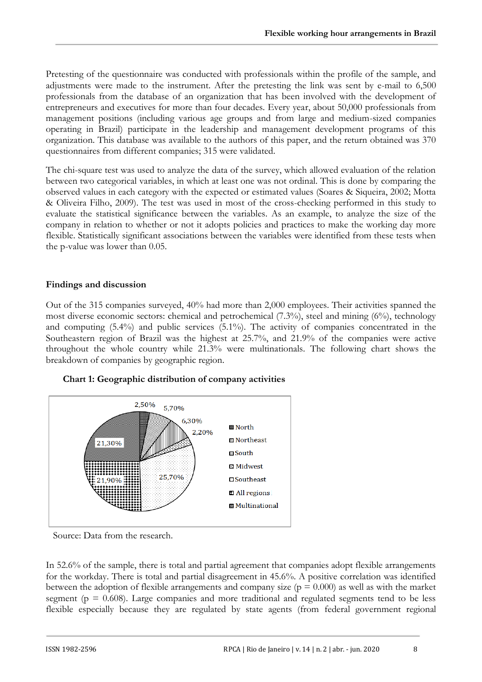Pretesting of the questionnaire was conducted with professionals within the profile of the sample, and adjustments were made to the instrument. After the pretesting the link was sent by e-mail to 6,500 professionals from the database of an organization that has been involved with the development of entrepreneurs and executives for more than four decades. Every year, about 50,000 professionals from management positions (including various age groups and from large and medium-sized companies operating in Brazil) participate in the leadership and management development programs of this organization. This database was available to the authors of this paper, and the return obtained was 370 questionnaires from different companies; 315 were validated.

The chi-square test was used to analyze the data of the survey, which allowed evaluation of the relation between two categorical variables, in which at least one was not ordinal. This is done by comparing the observed values in each category with the expected or estimated values (Soares & Siqueira, 2002; Motta & Oliveira Filho, 2009). The test was used in most of the cross-checking performed in this study to evaluate the statistical significance between the variables. As an example, to analyze the size of the company in relation to whether or not it adopts policies and practices to make the working day more flexible. Statistically significant associations between the variables were identified from these tests when the p-value was lower than 0.05.

### **Findings and discussion**

Out of the 315 companies surveyed, 40% had more than 2,000 employees. Their activities spanned the most diverse economic sectors: chemical and petrochemical (7.3%), steel and mining (6%), technology and computing (5.4%) and public services (5.1%). The activity of companies concentrated in the Southeastern region of Brazil was the highest at 25.7%, and 21.9% of the companies were active throughout the whole country while 21.3% were multinationals. The following chart shows the breakdown of companies by geographic region.





Source: Data from the research.

In 52.6% of the sample, there is total and partial agreement that companies adopt flexible arrangements for the workday. There is total and partial disagreement in 45.6%. A positive correlation was identified between the adoption of flexible arrangements and company size ( $p = 0.000$ ) as well as with the market segment ( $p = 0.608$ ). Large companies and more traditional and regulated segments tend to be less flexible especially because they are regulated by state agents (from federal government regional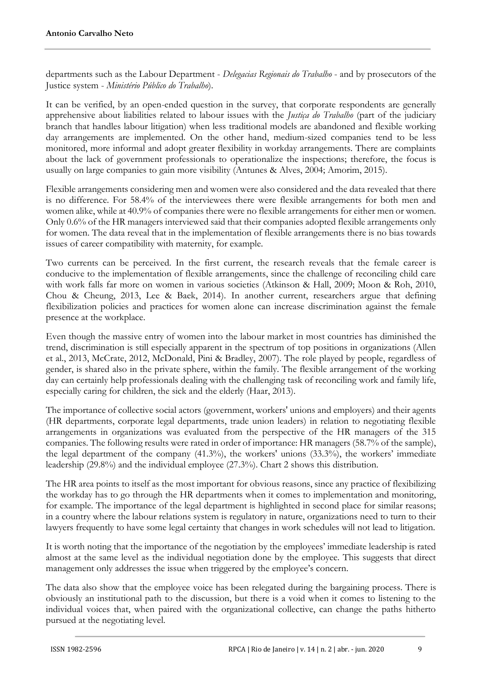departments such as the Labour Department - *Delegacias Regionais do Trabalho* - and by prosecutors of the Justice system - *Ministério Público do Trabalho*).

It can be verified, by an open-ended question in the survey, that corporate respondents are generally apprehensive about liabilities related to labour issues with the *Justiça do Trabalho* (part of the judiciary branch that handles labour litigation) when less traditional models are abandoned and flexible working day arrangements are implemented. On the other hand, medium-sized companies tend to be less monitored, more informal and adopt greater flexibility in workday arrangements. There are complaints about the lack of government professionals to operationalize the inspections; therefore, the focus is usually on large companies to gain more visibility (Antunes & Alves, 2004; Amorim, 2015).

Flexible arrangements considering men and women were also considered and the data revealed that there is no difference. For 58.4% of the interviewees there were flexible arrangements for both men and women alike, while at 40.9% of companies there were no flexible arrangements for either men or women. Only 0.6% of the HR managers interviewed said that their companies adopted flexible arrangements only for women. The data reveal that in the implementation of flexible arrangements there is no bias towards issues of career compatibility with maternity, for example.

Two currents can be perceived. In the first current, the research reveals that the female career is conducive to the implementation of flexible arrangements, since the challenge of reconciling child care with work falls far more on women in various societies (Atkinson & Hall, 2009; Moon & Roh, 2010, Chou & Cheung, 2013, Lee & Baek, 2014). In another current, researchers argue that defining flexibilization policies and practices for women alone can increase discrimination against the female presence at the workplace.

Even though the massive entry of women into the labour market in most countries has diminished the trend, discrimination is still especially apparent in the spectrum of top positions in organizations (Allen et al., 2013, McCrate, 2012, McDonald, Pini & Bradley, 2007). The role played by people, regardless of gender, is shared also in the private sphere, within the family. The flexible arrangement of the working day can certainly help professionals dealing with the challenging task of reconciling work and family life, especially caring for children, the sick and the elderly (Haar, 2013).

The importance of collective social actors (government, workers' unions and employers) and their agents (HR departments, corporate legal departments, trade union leaders) in relation to negotiating flexible arrangements in organizations was evaluated from the perspective of the HR managers of the 315 companies. The following results were rated in order of importance: HR managers (58.7% of the sample), the legal department of the company (41.3%), the workers' unions (33.3%), the workers' immediate leadership (29.8%) and the individual employee (27.3%). Chart 2 shows this distribution.

The HR area points to itself as the most important for obvious reasons, since any practice of flexibilizing the workday has to go through the HR departments when it comes to implementation and monitoring, for example. The importance of the legal department is highlighted in second place for similar reasons; in a country where the labour relations system is regulatory in nature, organizations need to turn to their lawyers frequently to have some legal certainty that changes in work schedules will not lead to litigation.

It is worth noting that the importance of the negotiation by the employees' immediate leadership is rated almost at the same level as the individual negotiation done by the employee. This suggests that direct management only addresses the issue when triggered by the employee's concern.

The data also show that the employee voice has been relegated during the bargaining process. There is obviously an institutional path to the discussion, but there is a void when it comes to listening to the individual voices that, when paired with the organizational collective, can change the paths hitherto pursued at the negotiating level.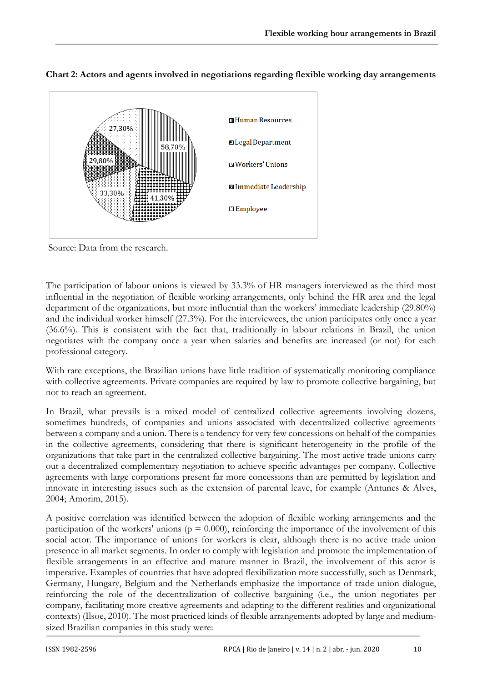

**Chart 2: Actors and agents involved in negotiations regarding flexible working day arrangements**

Source: Data from the research.

The participation of labour unions is viewed by 33.3% of HR managers interviewed as the third most influential in the negotiation of flexible working arrangements, only behind the HR area and the legal department of the organizations, but more influential than the workers' immediate leadership (29.80%) and the individual worker himself (27.3%). For the interviewees, the union participates only once a year (36.6%). This is consistent with the fact that, traditionally in labour relations in Brazil, the union negotiates with the company once a year when salaries and benefits are increased (or not) for each professional category.

With rare exceptions, the Brazilian unions have little tradition of systematically monitoring compliance with collective agreements. Private companies are required by law to promote collective bargaining, but not to reach an agreement.

In Brazil, what prevails is a mixed model of centralized collective agreements involving dozens, sometimes hundreds, of companies and unions associated with decentralized collective agreements between a company and a union. There is a tendency for very few concessions on behalf of the companies in the collective agreements, considering that there is significant heterogeneity in the profile of the organizations that take part in the centralized collective bargaining. The most active trade unions carry out a decentralized complementary negotiation to achieve specific advantages per company. Collective agreements with large corporations present far more concessions than are permitted by legislation and innovate in interesting issues such as the extension of parental leave, for example (Antunes & Alves, 2004; Amorim, 2015).

A positive correlation was identified between the adoption of flexible working arrangements and the participation of the workers' unions ( $p = 0.000$ ), reinforcing the importance of the involvement of this social actor. The importance of unions for workers is clear, although there is no active trade union presence in all market segments. In order to comply with legislation and promote the implementation of flexible arrangements in an effective and mature manner in Brazil, the involvement of this actor is imperative. Examples of countries that have adopted flexibilization more successfully, such as Denmark, Germany, Hungary, Belgium and the Netherlands emphasize the importance of trade union dialogue, reinforcing the role of the decentralization of collective bargaining (i.e., the union negotiates per company, facilitating more creative agreements and adapting to the different realities and organizational contexts) (Ilsoe, 2010). The most practiced kinds of flexible arrangements adopted by large and mediumsized Brazilian companies in this study were: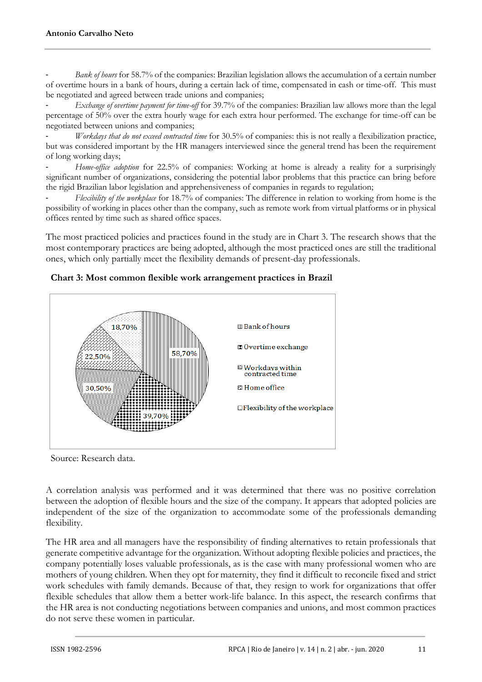Bank of hours for 58.7% of the companies: Brazilian legislation allows the accumulation of a certain number of overtime hours in a bank of hours, during a certain lack of time, compensated in cash or time-off. This must be negotiated and agreed between trade unions and companies;

- *Exchange of overtime payment for time-off* for 39.7% of the companies: Brazilian law allows more than the legal percentage of 50% over the extra hourly wage for each extra hour performed. The exchange for time-off can be negotiated between unions and companies;

- *Workdays that do not exceed contracted time* for 30.5% of companies: this is not really a flexibilization practice, but was considered important by the HR managers interviewed since the general trend has been the requirement of long working days;

Home-office adoption for 22.5% of companies: Working at home is already a reality for a surprisingly significant number of organizations, considering the potential labor problems that this practice can bring before the rigid Brazilian labor legislation and apprehensiveness of companies in regards to regulation;

- *Flexibility of the workplace* for 18.7% of companies: The difference in relation to working from home is the possibility of working in places other than the company, such as remote work from virtual platforms or in physical offices rented by time such as shared office spaces.

The most practiced policies and practices found in the study are in Chart 3. The research shows that the most contemporary practices are being adopted, although the most practiced ones are still the traditional ones, which only partially meet the flexibility demands of present-day professionals.



#### **Chart 3: Most common flexible work arrangement practices in Brazil**

Source: Research data.

A correlation analysis was performed and it was determined that there was no positive correlation between the adoption of flexible hours and the size of the company. It appears that adopted policies are independent of the size of the organization to accommodate some of the professionals demanding flexibility.

The HR area and all managers have the responsibility of finding alternatives to retain professionals that generate competitive advantage for the organization. Without adopting flexible policies and practices, the company potentially loses valuable professionals, as is the case with many professional women who are mothers of young children. When they opt for maternity, they find it difficult to reconcile fixed and strict work schedules with family demands. Because of that, they resign to work for organizations that offer flexible schedules that allow them a better work-life balance. In this aspect, the research confirms that the HR area is not conducting negotiations between companies and unions, and most common practices do not serve these women in particular.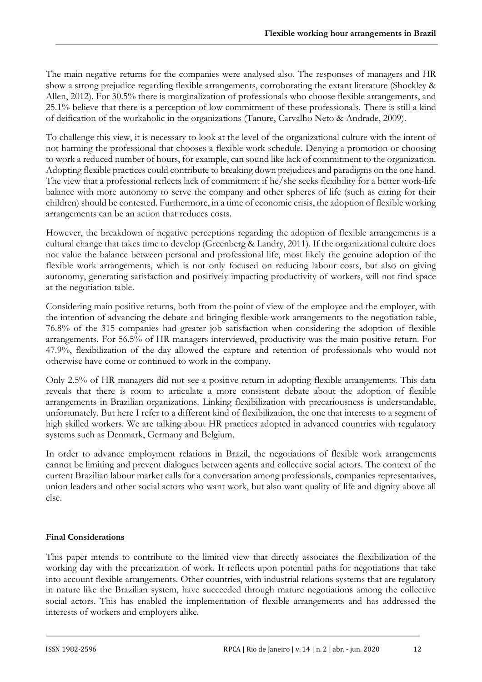The main negative returns for the companies were analysed also. The responses of managers and HR show a strong prejudice regarding flexible arrangements, corroborating the extant literature (Shockley & Allen, 2012). For 30.5% there is marginalization of professionals who choose flexible arrangements, and 25.1% believe that there is a perception of low commitment of these professionals. There is still a kind of deification of the workaholic in the organizations (Tanure, Carvalho Neto & Andrade, 2009).

To challenge this view, it is necessary to look at the level of the organizational culture with the intent of not harming the professional that chooses a flexible work schedule. Denying a promotion or choosing to work a reduced number of hours, for example, can sound like lack of commitment to the organization. Adopting flexible practices could contribute to breaking down prejudices and paradigms on the one hand. The view that a professional reflects lack of commitment if he/she seeks flexibility for a better work-life balance with more autonomy to serve the company and other spheres of life (such as caring for their children) should be contested. Furthermore, in a time of economic crisis, the adoption of flexible working arrangements can be an action that reduces costs.

However, the breakdown of negative perceptions regarding the adoption of flexible arrangements is a cultural change that takes time to develop (Greenberg & Landry, 2011). If the organizational culture does not value the balance between personal and professional life, most likely the genuine adoption of the flexible work arrangements, which is not only focused on reducing labour costs, but also on giving autonomy, generating satisfaction and positively impacting productivity of workers, will not find space at the negotiation table.

Considering main positive returns, both from the point of view of the employee and the employer, with the intention of advancing the debate and bringing flexible work arrangements to the negotiation table, 76.8% of the 315 companies had greater job satisfaction when considering the adoption of flexible arrangements. For 56.5% of HR managers interviewed, productivity was the main positive return. For 47.9%, flexibilization of the day allowed the capture and retention of professionals who would not otherwise have come or continued to work in the company.

Only 2.5% of HR managers did not see a positive return in adopting flexible arrangements. This data reveals that there is room to articulate a more consistent debate about the adoption of flexible arrangements in Brazilian organizations. Linking flexibilization with precariousness is understandable, unfortunately. But here I refer to a different kind of flexibilization, the one that interests to a segment of high skilled workers. We are talking about HR practices adopted in advanced countries with regulatory systems such as Denmark, Germany and Belgium.

In order to advance employment relations in Brazil, the negotiations of flexible work arrangements cannot be limiting and prevent dialogues between agents and collective social actors. The context of the current Brazilian labour market calls for a conversation among professionals, companies representatives, union leaders and other social actors who want work, but also want quality of life and dignity above all else.

### **Final Considerations**

This paper intends to contribute to the limited view that directly associates the flexibilization of the working day with the precarization of work. It reflects upon potential paths for negotiations that take into account flexible arrangements. Other countries, with industrial relations systems that are regulatory in nature like the Brazilian system, have succeeded through mature negotiations among the collective social actors. This has enabled the implementation of flexible arrangements and has addressed the interests of workers and employers alike.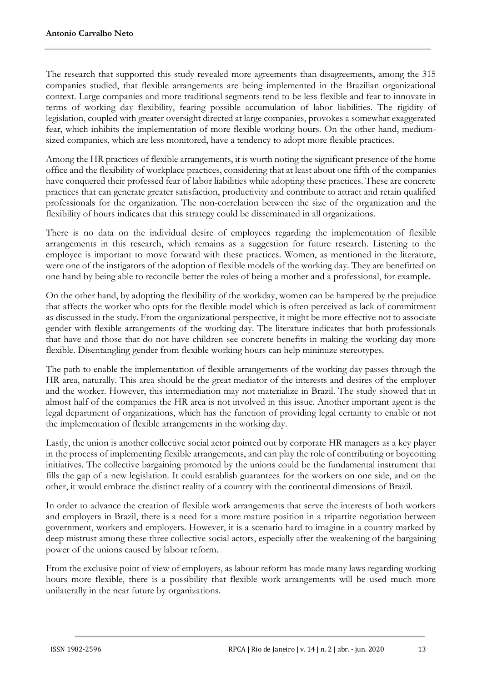The research that supported this study revealed more agreements than disagreements, among the 315 companies studied, that flexible arrangements are being implemented in the Brazilian organizational context. Large companies and more traditional segments tend to be less flexible and fear to innovate in terms of working day flexibility, fearing possible accumulation of labor liabilities. The rigidity of legislation, coupled with greater oversight directed at large companies, provokes a somewhat exaggerated fear, which inhibits the implementation of more flexible working hours. On the other hand, mediumsized companies, which are less monitored, have a tendency to adopt more flexible practices.

Among the HR practices of flexible arrangements, it is worth noting the significant presence of the home office and the flexibility of workplace practices, considering that at least about one fifth of the companies have conquered their professed fear of labor liabilities while adopting these practices. These are concrete practices that can generate greater satisfaction, productivity and contribute to attract and retain qualified professionals for the organization. The non-correlation between the size of the organization and the flexibility of hours indicates that this strategy could be disseminated in all organizations.

There is no data on the individual desire of employees regarding the implementation of flexible arrangements in this research, which remains as a suggestion for future research. Listening to the employee is important to move forward with these practices. Women, as mentioned in the literature, were one of the instigators of the adoption of flexible models of the working day. They are benefitted on one hand by being able to reconcile better the roles of being a mother and a professional, for example.

On the other hand, by adopting the flexibility of the workday, women can be hampered by the prejudice that affects the worker who opts for the flexible model which is often perceived as lack of commitment as discussed in the study. From the organizational perspective, it might be more effective not to associate gender with flexible arrangements of the working day. The literature indicates that both professionals that have and those that do not have children see concrete benefits in making the working day more flexible. Disentangling gender from flexible working hours can help minimize stereotypes.

The path to enable the implementation of flexible arrangements of the working day passes through the HR area, naturally. This area should be the great mediator of the interests and desires of the employer and the worker. However, this intermediation may not materialize in Brazil. The study showed that in almost half of the companies the HR area is not involved in this issue. Another important agent is the legal department of organizations, which has the function of providing legal certainty to enable or not the implementation of flexible arrangements in the working day.

Lastly, the union is another collective social actor pointed out by corporate HR managers as a key player in the process of implementing flexible arrangements, and can play the role of contributing or boycotting initiatives. The collective bargaining promoted by the unions could be the fundamental instrument that fills the gap of a new legislation. It could establish guarantees for the workers on one side, and on the other, it would embrace the distinct reality of a country with the continental dimensions of Brazil.

In order to advance the creation of flexible work arrangements that serve the interests of both workers and employers in Brazil, there is a need for a more mature position in a tripartite negotiation between government, workers and employers. However, it is a scenario hard to imagine in a country marked by deep mistrust among these three collective social actors, especially after the weakening of the bargaining power of the unions caused by labour reform.

From the exclusive point of view of employers, as labour reform has made many laws regarding working hours more flexible, there is a possibility that flexible work arrangements will be used much more unilaterally in the near future by organizations.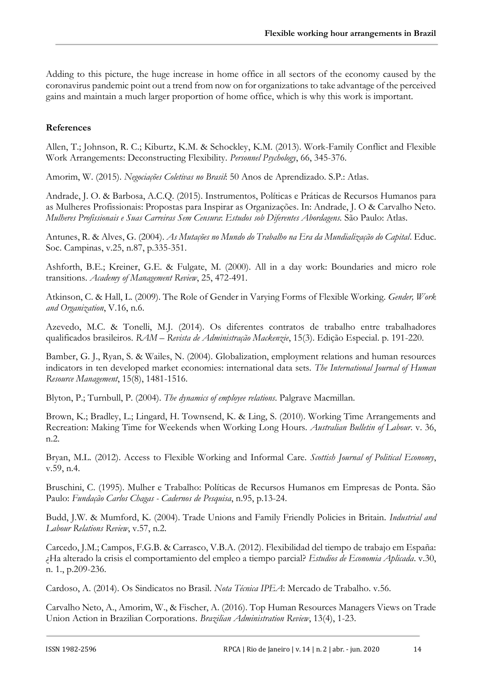Adding to this picture, the huge increase in home office in all sectors of the economy caused by the coronavirus pandemic point out a trend from now on for organizations to take advantage of the perceived gains and maintain a much larger proportion of home office, which is why this work is important.

## **References**

Allen, T.; Johnson, R. C.; Kiburtz, K.M. & Schockley, K.M. (2013). Work-Family Conflict and Flexible Work Arrangements: Deconstructing Flexibility. *Personnel Psychology*, 66, 345-376.

Amorim, W. (2015). *Negociações Coletivas no Brasil*: 50 Anos de Aprendizado. S.P.: Atlas.

Andrade, J. O. & Barbosa, A.C.Q. (2015). Instrumentos, Políticas e Práticas de Recursos Humanos para as Mulheres Profissionais: Propostas para Inspirar as Organizações. In: Andrade, J. O & Carvalho Neto. *Mulheres Profissionais e Suas Carreiras Sem Censura*: *Estudos sob Diferentes Abordagens.* São Paulo: Atlas.

Antunes, R. & Alves, G. (2004). *As Mutações no Mundo do Trabalho na Era da Mundialização do Capital*. Educ. Soc. Campinas, v.25, n.87, p.335-351.

Ashforth, B.E.; Kreiner, G.E. & Fulgate, M. (2000). All in a day work: Boundaries and micro role transitions. *Academy of Management Review*, 25, 472-491.

Atkinson, C. & Hall, L. (2009). The Role of Gender in Varying Forms of Flexible Working. *Gender, Work and Organization*, V.16, n.6.

Azevedo, M.C. & Tonelli, M.J. (2014). Os diferentes contratos de trabalho entre trabalhadores qualificados brasileiros. *RAM* – *Revista de Administração Mackenzie*, 15(3). Edição Especial. p. 191-220.

Bamber, G. J., Ryan, S. & Wailes, N. (2004). Globalization, employment relations and human resources indicators in ten developed market economies: international data sets. *The International Journal of Human Resource Management*, 15(8), 1481-1516.

Blyton, P.; Turnbull, P. (2004). *The dynamics of employee relations*. Palgrave Macmillan.

Brown, K.; Bradley, L.; Lingard, H. Townsend, K. & Ling, S. (2010). Working Time Arrangements and Recreation: Making Time for Weekends when Working Long Hours. *Australian Bulletin of Labour*. v. 36, n.2.

Bryan, M.L. (2012). Access to Flexible Working and Informal Care. *Scottish Journal of Political Economy*, v.59, n.4.

Bruschini, C. (1995). Mulher e Trabalho: Políticas de Recursos Humanos em Empresas de Ponta. São Paulo: *Fundação Carlos Chagas - Cadernos de Pesquisa*, n.95, p.13-24.

Budd, J.W. & Mumford, K. (2004). Trade Unions and Family Friendly Policies in Britain. *Industrial and Labour Relations Review*, v.57, n.2.

Carcedo, J.M.; Campos, F.G.B. & Carrasco, V.B.A. (2012). Flexibilidad del tiempo de trabajo em España: ¿Ha alterado la crisis el comportamiento del empleo a tiempo parcial? *Estudios de Economia Aplicada*. v.30, n. 1., p.209-236.

Cardoso, A. (2014). Os Sindicatos no Brasil. *Nota Técnica IPEA*: Mercado de Trabalho. v.56.

Carvalho Neto, A., Amorim, W., & Fischer, A. (2016). Top Human Resources Managers Views on Trade Union Action in Brazilian Corporations. *Brazilian Administration Review*, 13(4), 1-23.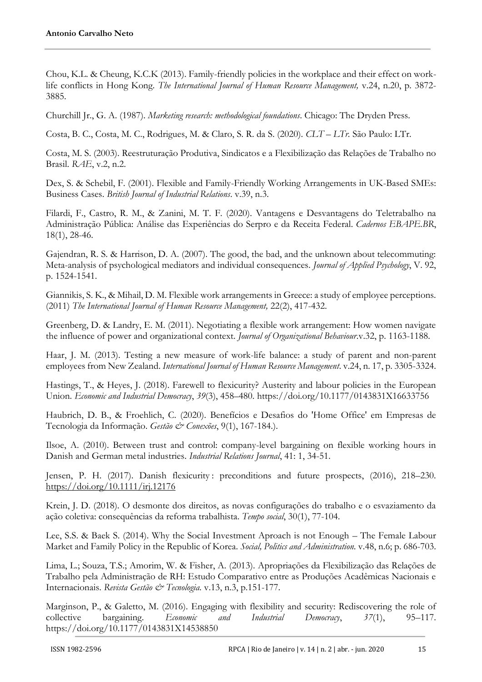Chou, K.L. & Cheung, K.C.K (2013). Family-friendly policies in the workplace and their effect on worklife conflicts in Hong Kong. *The International Journal of Human Resource Management,* v.24, n.20, p. 3872- 3885.

Churchill Jr., G. A. (1987). *Marketing research: methodological foundations*. Chicago: The Dryden Press.

Costa, B. C., Costa, M. C., Rodrigues, M. & Claro, S. R. da S. (2020). *CLT – LTr.* São Paulo: LTr.

Costa, M. S. (2003). Reestruturação Produtiva, Sindicatos e a Flexibilização das Relações de Trabalho no Brasil. *RAE*, v.2, n.2.

Dex, S. & Schebil, F. (2001). Flexible and Family-Friendly Working Arrangements in UK-Based SMEs: Business Cases. *British Journal of Industrial Relations*. v.39, n.3.

Filardi, F., Castro, R. M., & Zanini, M. T. F. (2020). Vantagens e Desvantagens do Teletrabalho na Administração Pública: Análise das Experiências do Serpro e da Receita Federal. *Cadernos EBAPE.BR*, 18(1), 28-46.

Gajendran, R. S. & Harrison, D. A. (2007). The good, the bad, and the unknown about telecommuting: Meta-analysis of psychological mediators and individual consequences. *Journal of Applied Psychology*, V. 92, p. 1524-1541.

Giannikis, S. K., & Mihail, D. M. Flexible work arrangements in Greece: a study of employee perceptions. (2011) *The International Journal of Human Resource Management,* 22(2), 417-432.

Greenberg, D. & Landry, E. M. (2011). Negotiating a flexible work arrangement: How women navigate the influence of power and organizational context. *Journal of Organizational Behaviour*.v.32, p. 1163-1188.

Haar, J. M. (2013). Testing a new measure of work-life balance: a study of parent and non-parent employees from New Zealand. *International Journal of Human Resource Management*. v.24, n. 17, p. 3305-3324.

Hastings, T., & Heyes, J. (2018). Farewell to flexicurity? Austerity and labour policies in the European Union. *Economic and Industrial Democracy*, *39*(3), 458–480. https://doi.org/10.1177/0143831X16633756

Haubrich, D. B., & Froehlich, C. (2020). Benefícios e Desafios do 'Home Office' em Empresas de Tecnologia da Informação. *Gestão & Conexões*, 9(1), 167-184.).

Ilsoe, A. (2010). Between trust and control: company-level bargaining on flexible working hours in Danish and German metal industries. *Industrial Relations Journal*, 41: 1, 34-51.

Jensen, P. H. (2017). Danish flexicurity: preconditions and future prospects, (2016), 218–230. <https://doi.org/10.1111/irj.12176>

Krein, J. D. (2018). O desmonte dos direitos, as novas configurações do trabalho e o esvaziamento da ação coletiva: consequências da reforma trabalhista. *Tempo social*, 30(1), 77-104.

Lee, S.S. & Baek S. (2014). Why the Social Investment Aproach is not Enough – The Female Labour Market and Family Policy in the Republic of Korea. *Social, Politics and Administration.* v.48, n.6; p. 686-703.

Lima, L.; Souza, T.S.; Amorim, W. & Fisher, A. (2013). Apropriações da Flexibilização das Relações de Trabalho pela Administração de RH: Estudo Comparativo entre as Produções Acadêmicas Nacionais e Internacionais. *Revista Gestão & Tecnologia.* v.13, n.3, p.151-177.

Marginson, P., & Galetto, M. (2016). Engaging with flexibility and security: Rediscovering the role of collective bargaining. *Economic and Industrial Democracy*, *37*(1), 95–117. https://doi.org/10.1177/0143831X14538850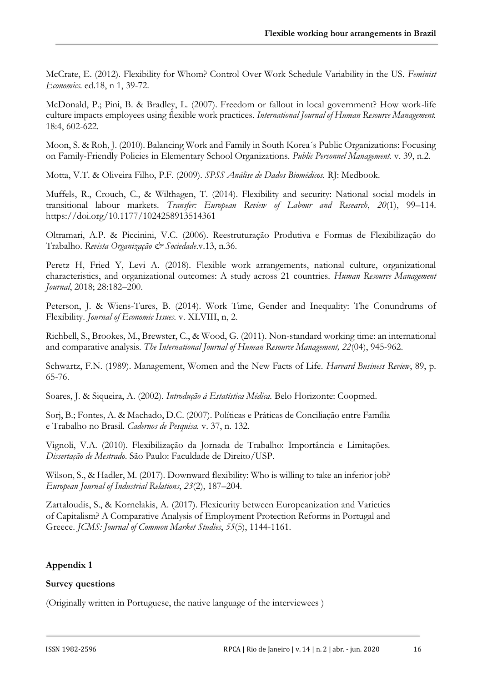McCrate, E. (2012). Flexibility for Whom? Control Over Work Schedule Variability in the US. *Feminist Economics*. ed.18, n 1, 39-72.

McDonald, P.; Pini, B. & Bradley, L. (2007). Freedom or fallout in local government? How work-life culture impacts employees using flexible work practices. *International Journal of Human Resource Management.* 18:4, 602-622.

Moon, S. & Roh, J. (2010). Balancing Work and Family in South Korea´s Public Organizations: Focusing on Family-Friendly Policies in Elementary School Organizations. *Public Personnel Management.* v. 39, n.2.

Motta, V.T. & Oliveira Filho, P.F. (2009). *SPSS Análise de Dados Biomédicos.* RJ: Medbook.

Muffels, R., Crouch, C., & Wilthagen, T. (2014). Flexibility and security: National social models in transitional labour markets. *Transfer: European Review of Labour and Research*, *20*(1), 99–114. https://doi.org/10.1177/1024258913514361

Oltramari, A.P. & Piccinini, V.C. (2006). Reestruturação Produtiva e Formas de Flexibilização do Trabalho. *Revista Organização & Sociedade*.v.13, n.36.

Peretz H, Fried Y, Levi A. (2018). Flexible work arrangements, national culture, organizational characteristics, and organizational outcomes: A study across 21 countries. *Human Resource Management Journal*, 2018; 28:182–200.

Peterson, J. & Wiens-Tures, B. (2014). Work Time, Gender and Inequality: The Conundrums of Flexibility. *Journal of Economic Issues.* v. XLVIII, n, 2.

Richbell, S., Brookes, M., Brewster, C., & Wood, G. (2011). Non-standard working time: an international and comparative analysis. *The International Journal of Human Resource Management, 22*(04), 945-962.

Schwartz, F.N. (1989). Management, Women and the New Facts of Life. *Harvard Business Review*, 89, p. 65-76.

Soares, J. & Siqueira, A. (2002). *Introdução à Estatística Médica.* Belo Horizonte: Coopmed.

Sorj, B.; Fontes, A. & Machado, D.C. (2007). Políticas e Práticas de Conciliação entre Família e Trabalho no Brasil. *Cadernos de Pesquisa.* v. 37, n. 132.

Vignoli, V.A. (2010). Flexibilização da Jornada de Trabalho: Importância e Limitações. *Dissertação de Mestrado*. São Paulo: Faculdade de Direito/USP.

Wilson, S., & Hadler, M. (2017). Downward flexibility: Who is willing to take an inferior job? *European Journal of Industrial Relations*, *23*(2), 187–204.

Zartaloudis, S., & Kornelakis, A. (2017). Flexicurity between Europeanization and Varieties of Capitalism? A Comparative Analysis of Employment Protection Reforms in Portugal and Greece. *JCMS: Journal of Common Market Studies*, *55*(5), 1144-1161.

# **Appendix 1**

# **Survey questions**

(Originally written in Portuguese, the native language of the interviewees )